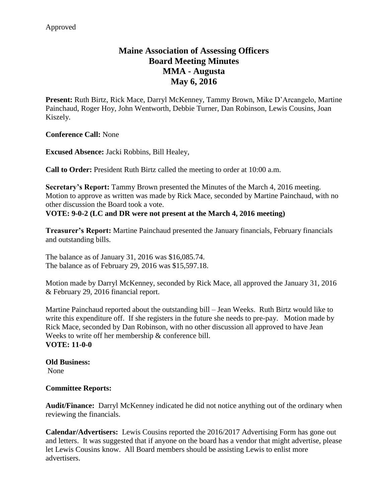# **Maine Association of Assessing Officers Board Meeting Minutes MMA - Augusta May 6, 2016**

**Present:** Ruth Birtz, Rick Mace, Darryl McKenney, Tammy Brown, Mike D'Arcangelo, Martine Painchaud, Roger Hoy, John Wentworth, Debbie Turner, Dan Robinson, Lewis Cousins, Joan Kiszely.

**Conference Call:** None

**Excused Absence:** Jacki Robbins, Bill Healey,

**Call to Order:** President Ruth Birtz called the meeting to order at 10:00 a.m.

**Secretary's Report:** Tammy Brown presented the Minutes of the March 4, 2016 meeting. Motion to approve as written was made by Rick Mace, seconded by Martine Painchaud, with no other discussion the Board took a vote.

# **VOTE: 9-0-2 (LC and DR were not present at the March 4, 2016 meeting)**

**Treasurer's Report:** Martine Painchaud presented the January financials, February financials and outstanding bills.

The balance as of January 31, 2016 was \$16,085.74. The balance as of February 29, 2016 was \$15,597.18.

Motion made by Darryl McKenney, seconded by Rick Mace, all approved the January 31, 2016 & February 29, 2016 financial report.

Martine Painchaud reported about the outstanding bill – Jean Weeks. Ruth Birtz would like to write this expenditure off. If she registers in the future she needs to pre-pay. Motion made by Rick Mace, seconded by Dan Robinson, with no other discussion all approved to have Jean Weeks to write off her membership & conference bill. **VOTE: 11-0-0**

#### **Old Business:** None

### **Committee Reports:**

**Audit/Finance:** Darryl McKenney indicated he did not notice anything out of the ordinary when reviewing the financials.

**Calendar/Advertisers:** Lewis Cousins reported the 2016/2017 Advertising Form has gone out and letters. It was suggested that if anyone on the board has a vendor that might advertise, please let Lewis Cousins know. All Board members should be assisting Lewis to enlist more advertisers.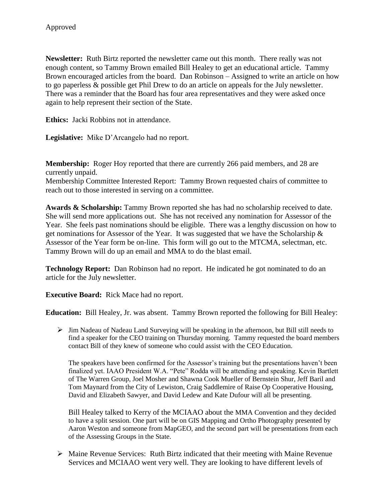**Newsletter:** Ruth Birtz reported the newsletter came out this month. There really was not enough content, so Tammy Brown emailed Bill Healey to get an educational article. Tammy Brown encouraged articles from the board. Dan Robinson – Assigned to write an article on how to go paperless & possible get Phil Drew to do an article on appeals for the July newsletter. There was a reminder that the Board has four area representatives and they were asked once again to help represent their section of the State.

**Ethics:** Jacki Robbins not in attendance.

**Legislative:** Mike D'Arcangelo had no report.

**Membership:** Roger Hoy reported that there are currently 266 paid members, and 28 are currently unpaid.

Membership Committee Interested Report: Tammy Brown requested chairs of committee to reach out to those interested in serving on a committee.

**Awards & Scholarship:** Tammy Brown reported she has had no scholarship received to date. She will send more applications out. She has not received any nomination for Assessor of the Year. She feels past nominations should be eligible. There was a lengthy discussion on how to get nominations for Assessor of the Year. It was suggested that we have the Scholarship & Assessor of the Year form be on-line. This form will go out to the MTCMA, selectman, etc. Tammy Brown will do up an email and MMA to do the blast email.

**Technology Report:** Dan Robinson had no report. He indicated he got nominated to do an article for the July newsletter.

**Executive Board:** Rick Mace had no report.

**Education:** Bill Healey, Jr. was absent. Tammy Brown reported the following for Bill Healey:

 $\triangleright$  Jim Nadeau of Nadeau Land Surveying will be speaking in the afternoon, but Bill still needs to find a speaker for the CEO training on Thursday morning. Tammy requested the board members contact Bill of they knew of someone who could assist with the CEO Education.

The speakers have been confirmed for the Assessor's training but the presentations haven't been finalized yet. IAAO President W.A. "Pete" Rodda will be attending and speaking. Kevin Bartlett of The Warren Group, Joel Mosher and Shawna Cook Mueller of Bernstein Shur, Jeff Baril and Tom Maynard from the City of Lewiston, Craig Saddlemire of Raise Op Cooperative Housing, David and Elizabeth Sawyer, and David Ledew and Kate Dufour will all be presenting.

Bill Healey talked to Kerry of the MCIAAO about the MMA Convention and they decided to have a split session. One part will be on GIS Mapping and Ortho Photography presented by Aaron Weston and someone from MapGEO, and the second part will be presentations from each of the Assessing Groups in the State.

 $\triangleright$  Maine Revenue Services: Ruth Birtz indicated that their meeting with Maine Revenue Services and MCIAAO went very well. They are looking to have different levels of